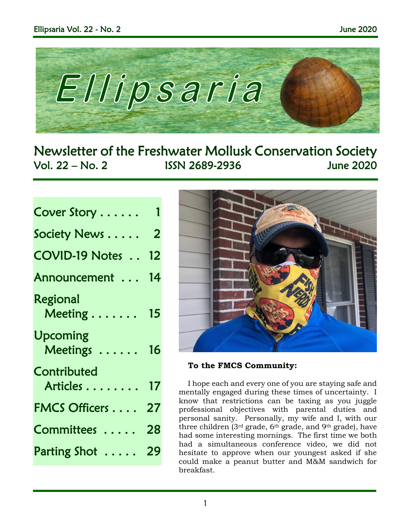

Newsletter of the Freshwater Mollusk Conservation Society Vol. 22 – No. 2 ISSN 2689-2936 June 2020

| Cover Story                         |    |
|-------------------------------------|----|
| Society News                        | 2  |
| <b>COVID-19 Notes </b>              | 12 |
| Announcement                        | 14 |
| Regional<br>Meeting $\ldots \ldots$ | 15 |
| <b>Upcoming</b><br>Meetings         | 16 |
| Contributed<br>Articles             | 17 |
| <b>FMCS Officers</b>                | 27 |
| Committees                          | 28 |
| Parting Shot                        | 29 |



**To the FMCS Community:**

I hope each and every one of you are staying safe and mentally engaged during these times of uncertainty. I know that restrictions can be taxing as you juggle professional objectives with parental duties and personal sanity. Personally, my wife and I, with our three children (3rd grade, 6th grade, and 9th grade), have had some interesting mornings. The first time we both had a simultaneous conference video, we did not hesitate to approve when our youngest asked if she could make a peanut butter and M&M sandwich for breakfast.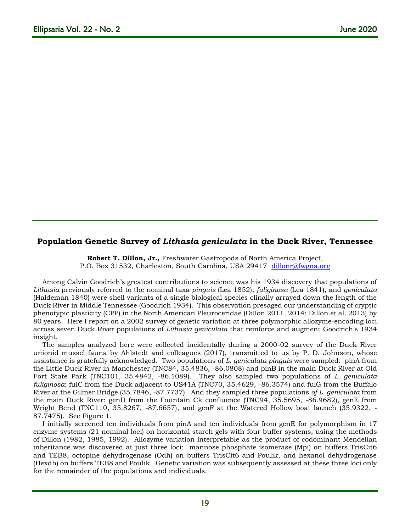## **Population Genetic Survey of** *Lithasia geniculata* **in the Duck River, Tennessee**

**Robert T. Dillon, Jr.,** Freshwater Gastropods of North America Project, P.O. Box 31532, Charleston, South Carolina, USA 29417 [dillonr@fwgna.org](mailto:dillonr@fwgna.org)

Among Calvin Goodrich's greatest contributions to science was his 1934 discovery that populations of *Lithasia* previously referred to the nominal taxa *pinguis* (Lea 1852), *fuliginosa* (Lea 1841), and *geniculata* (Haldeman 1840) were shell variants of a single biological species clinally arrayed down the length of the Duck River in Middle Tennessee (Goodrich 1934). This observation presaged our understanding of cryptic phenotypic plasticity (CPP) in the North American Pleuroceridae (Dillon 2011, 2014; Dillon et al. 2013) by 80 years. Here I report on a 2002 survey of genetic variation at three polymorphic allozyme-encoding loci across seven Duck River populations of *Lithasia geniculata* that reinforce and augment Goodrich's 1934 insight.

The samples analyzed here were collected incidentally during a 2000-02 survey of the Duck River unionid mussel fauna by Ahlstedt and colleagues (2017), transmitted to us by P. D. Johnson, whose assistance is gratefully acknowledged. Two populations of *L. geniculata pinguis* were sampled: pinA from the Little Duck River in Manchester (TNC84, 35.4836, -86.0808) and pinB in the main Duck River at Old Fort State Park (TNC101, 35.4842, -86.1089). They also sampled two populations of *L. geniculata fuliginosa*: fulC from the Duck adjacent to US41A (TNC70, 35.4629, -86.3574) and fulG from the Buffalo River at the Gilmer Bridge (35.7846, -87.7737). And they sampled three populations *of L. geniculata* from the main Duck River: genD from the Fountain Ck confluence (TNC94, 35.5695, -86.9682), genE from Wright Bend (TNC110, 35.8267, -87.6657), and genF at the Watered Hollow boat launch (35.9322, - 87.7475). See Figure 1.

I initially screened ten individuals from pinA and ten individuals from genE for polymorphism in 17 enzyme systems (21 nominal loci) on horizontal starch gels with four buffer systems, using the methods of Dillon (1982, 1985, 1992). Allozyme variation interpretable as the product of codominant Mendelian inheritance was discovered at just three loci: mannose phosphate isomerase (Mpi) on buffers TrisCit6 and TEB8, octopine dehydrogenase (Odh) on buffers TrisCit6 and Poulik, and hexanol dehydrogenase (Hexdh) on buffers TEB8 and Poulik. Genetic variation was subsequently assessed at these three loci only for the remainder of the populations and individuals.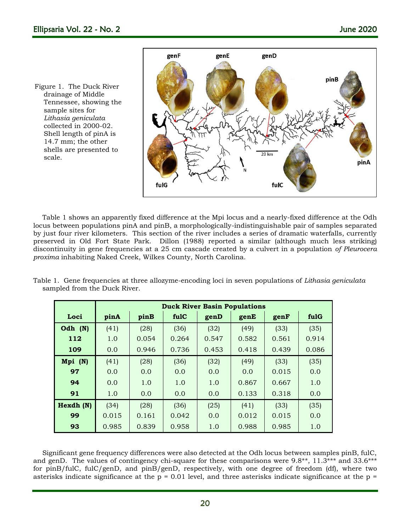Figure 1. The Duck River drainage of Middle Tennessee, showing the sample sites for *Lithasia geniculata*  collected in 2000-02. Shell length of pinA is 14.7 mm; the other shells are presented to scale.



Table 1 shows an apparently fixed difference at the Mpi locus and a nearly-fixed difference at the Odh locus between populations pinA and pinB, a morphologically-indistinguishable pair of samples separated by just four river kilometers. This section of the river includes a series of dramatic waterfalls, currently preserved in Old Fort State Park. Dillon (1988) reported a similar (although much less striking) discontinuity in gene frequencies at a 25 cm cascade created by a culvert in a population *of Pleurocera proxima* inhabiting Naked Creek, Wilkes County, North Carolina.

| Table 1. Gene frequencies at three allozyme-encoding loci in seven populations of Lithasia geniculata |  |  |  |
|-------------------------------------------------------------------------------------------------------|--|--|--|
| sampled from the Duck River.                                                                          |  |  |  |

|           | <b>Duck River Basin Populations</b> |       |       |       |       |       |       |  |
|-----------|-------------------------------------|-------|-------|-------|-------|-------|-------|--|
| Loci      | pinA                                | pinB  | fulC  | genD  | genE  | genF  | fulG  |  |
| Odh $(N)$ | (41)                                | (28)  | (36)  | (32)  | (49)  | (33)  | (35)  |  |
| 112       | 1.0                                 | 0.054 | 0.264 | 0.547 | 0.582 | 0.561 | 0.914 |  |
| 109       | 0.0                                 | 0.946 | 0.736 | 0.453 | 0.418 | 0.439 | 0.086 |  |
| Mpi (N)   | (41)                                | (28)  | (36)  | (32)  | (49)  | (33)  | (35)  |  |
| 97        | 0.0                                 | 0.0   | 0.0   | 0.0   | 0.0   | 0.015 | 0.0   |  |
| 94        | 0.0                                 | 1.0   | 1.0   | 1.0   | 0.867 | 0.667 | 1.0   |  |
| 91        | 1.0                                 | 0.0   | 0.0   | 0.0   | 0.133 | 0.318 | 0.0   |  |
| Hexdh (N) | (34)                                | (28)  | (36)  | (25)  | (41)  | (33)  | (35)  |  |
| 99        | 0.015                               | 0.161 | 0.042 | 0.0   | 0.012 | 0.015 | 0.0   |  |
| 93        | 0.985                               | 0.839 | 0.958 | 1.0   | 0.988 | 0.985 | 1.0   |  |

Significant gene frequency differences were also detected at the Odh locus between samples pinB, fulC, and genD. The values of contingency chi-square for these comparisons were 9.8\*\*, 11.3\*\*\* and 33.6\*\*\* for pinB/fulC, fulC/genD, and pinB/genD, respectively, with one degree of freedom (df), where two asterisks indicate significance at the  $p = 0.01$  level, and three asterisks indicate significance at the  $p =$